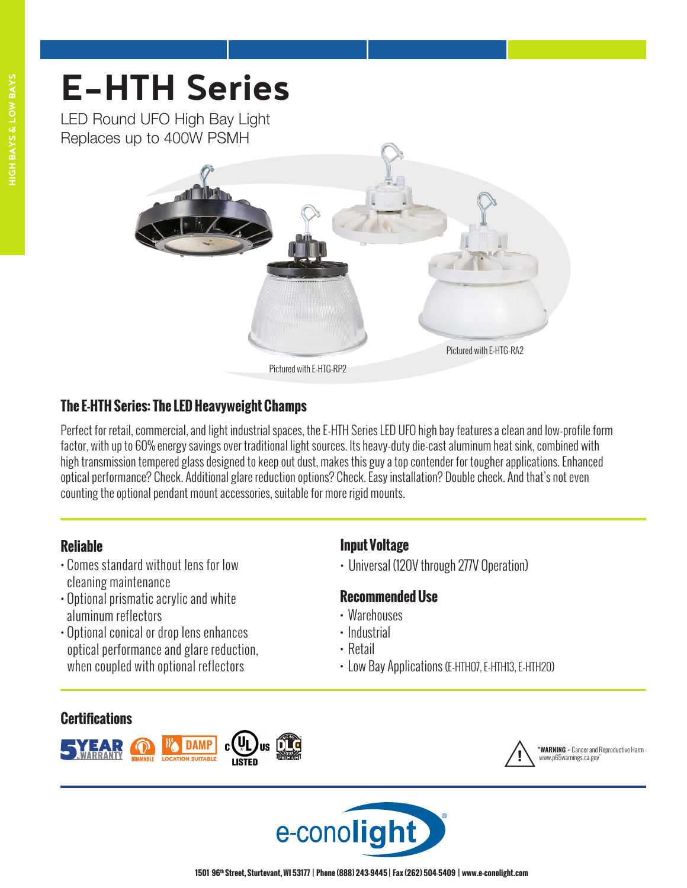LED Round UFO High Bay Light Replaces up to 400W PSMH



## **The E-HTH Series: The LED Heavyweight Champs**

Perfect for retail, commercial, and light industrial spaces, the E-HTH Series LED UFO high bay features a clean and low-profile form factor, with up to 60% energy savings over traditional light sources. Its heavy-duty die-cast aluminum heat sink, combined with high transmission tempered glass designed to keep out dust, makes this guy a top contender for tougher applications. Enhanced optical performance? Check. Additional glare reduction options? Check. Easy installation? Double check. And that's not even counting the optional pendant mount accessories, suitable for more rigid mounts.

## **Reliable**

- Comes standard without lens for low cleaning maintenance
- Optional prismatic acrylic and white aluminum reflectors
- Optional conical or drop lens enhances optical performance and glare reduction, when coupled with optional reflectors **<sup>5</sup>-YEA<sup>R</sup> <sup>L</sup>IM<sup>I</sup>TE<sup>D</sup> 5**

## **Certifications**



## **Input Voltage**

• Universal (120V through 277V Operation)

## **Recommended Use**

- Warehouses
- Industrial
- Retail
- Low Bay Applications (E-HTH07, E-HTH13, E-HTH20)



! **"WARNING -** Cancer and Reproductive Harm ww.p65warnings.ca.gov

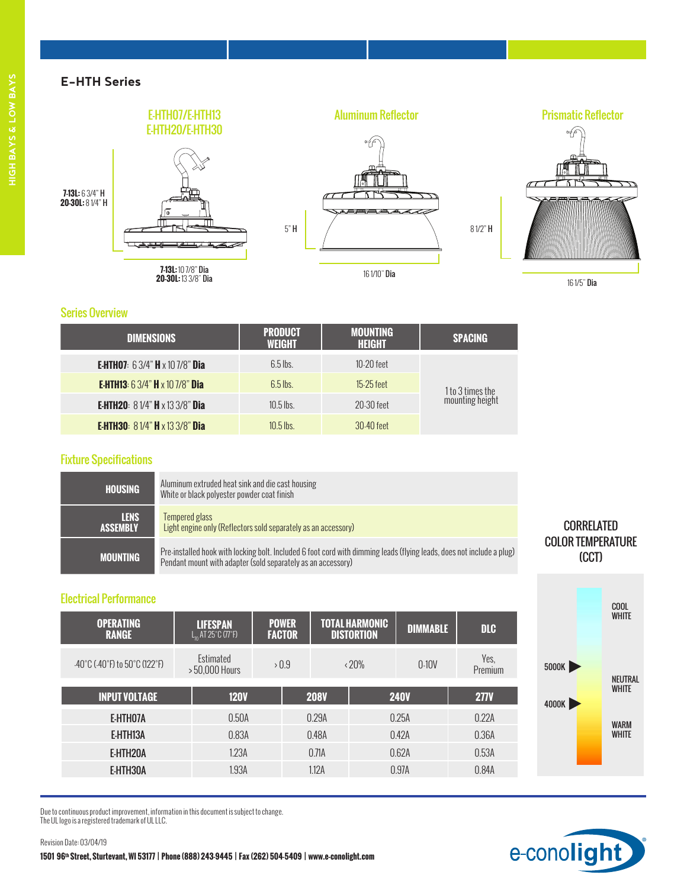

<sup>16 1/5&</sup>quot; Dia

COOL WHITE

NEUTRAL WHITE

WARM **WHITE** 

5000K

4000K

#### Series Overview

| <b>DIMENSIONS</b>                                              | <b>PRODUCT</b><br><b>WEIGHT</b> | <b>MOUNTING</b><br><b>HEIGHT</b> | <b>SPACING</b>                      |  |
|----------------------------------------------------------------|---------------------------------|----------------------------------|-------------------------------------|--|
| <b>E-HTH07</b> : $63/4$ " <b>H</b> $\times$ 10 7/8" <b>Dia</b> | $6.5$ lbs.                      | $10-20$ feet                     |                                     |  |
| <b>E-HTH13:</b> 6 3/4" <b>H</b> x 10 7/8" Dia                  | $6.5$ lbs.                      | $15-25$ feet                     |                                     |  |
| <b>E-HTH20:</b> $81/4"$ <b>H</b> x 13 3/8" <b>Dia</b>          | $10.5$ lbs.                     | $20-30$ feet                     | 1 to 3 times the<br>mounting height |  |
| <b>E-HTH30:</b> $81/4"$ <b>H</b> x 13 3/8" <b>Dia</b>          | $10.5$ lbs.                     | 30-40 feet                       |                                     |  |

#### Fixture Specifications

| HOUSING                        | Aluminum extruded heat sink and die cast housing<br>White or black polyester powder coat finish                                                                                       |                                   |
|--------------------------------|---------------------------------------------------------------------------------------------------------------------------------------------------------------------------------------|-----------------------------------|
| <b>LENS</b><br><b>ASSEMBLY</b> | Tempered glass<br>Light engine only (Reflectors sold separately as an accessory)                                                                                                      | <b>CORRELATED</b>                 |
| <b>MOUNTING</b>                | Pre-installed hook with locking bolt. Included 6 foot cord with dimming leads (flying leads, does not include a plug)<br>Pendant mount with adapter (sold separately as an accessory) | <b>COLOR TEMPERATURE</b><br>(CCT) |

#### Electrical Performance

Revision Date: 03/04/19

| <b>OPERATING</b><br><b>RANGE</b>                                         | <b>LIFESPAN</b><br>$L_{n}$ AT 25°C (77°F) | <b>POWER</b><br><b>FACTOR</b> | <b>TOTAL HARMONIC</b><br><b>DISTORTION</b> |      | <b>DIMMABLE</b> | <b>DLC</b>      |
|--------------------------------------------------------------------------|-------------------------------------------|-------------------------------|--------------------------------------------|------|-----------------|-----------------|
| $-40^{\circ}$ C ( $-40^{\circ}$ F) to 50 $^{\circ}$ C (122 $^{\circ}$ F) | Estimated<br>>50,000 Hours                | >0.9                          | $\langle 20\%$                             |      | $0-10V$         | Yes.<br>Premium |
| <b>INPUT VOLTAGE</b>                                                     | <b>120V</b>                               |                               | <b>208V</b>                                |      | <b>240V</b>     | <b>277V</b>     |
| E-HTH07A                                                                 | 0.50A                                     |                               | 0.29A                                      |      | 0.25A           | 0.22A           |
| E-HTH13A                                                                 | 0.83A                                     |                               | 0.48A                                      |      | 0.42A           | 0.36A           |
| E-HTH20A                                                                 | 1.23A                                     | 0.71A                         |                                            | 062A |                 | 0.53A           |
| E-HTH30A                                                                 | 1.93A                                     |                               | 1.12A                                      |      | 0.97A           | 0.84A           |

Due to continuous product improvement, information in this document is subject to change. The UL logo is a registered trademark of UL LLC.

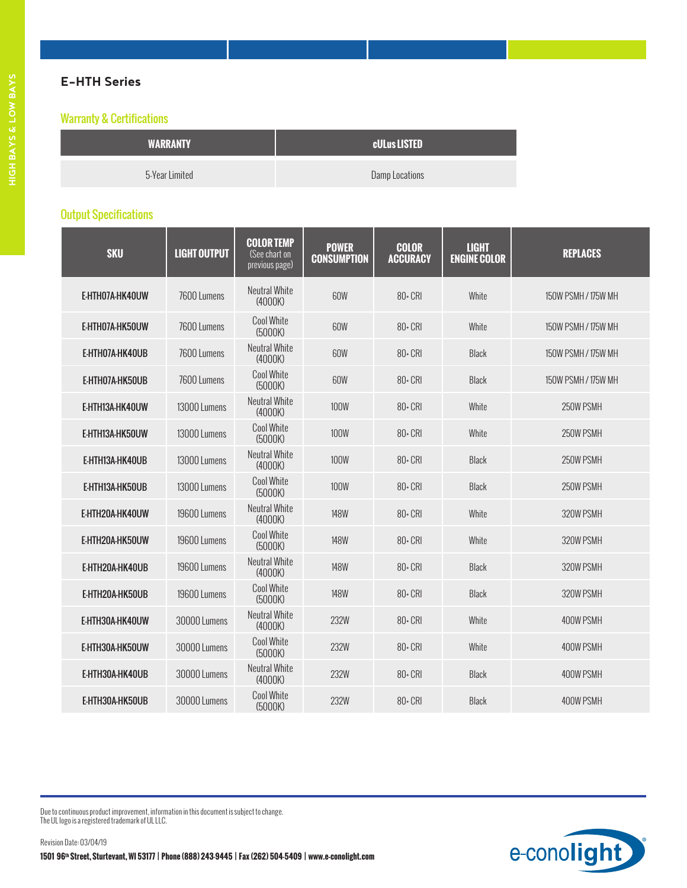| <b>WARRANTY</b> | <b>cULus LISTED</b> |
|-----------------|---------------------|
| 5-Year Limited  | Damp Locations      |

### Output Specifications

| <b>SKU</b>      | <b>LIGHT OUTPUT</b> | <b>COLOR TEMP</b><br>(See chart on<br>previous page) | <b>POWER</b><br><b>CONSUMPTION</b> | <b>COLOR</b><br><b>ACCURACY</b> | <b>LIGHT</b><br><b>ENGINE COLOR</b> | <b>REPLACES</b>     |
|-----------------|---------------------|------------------------------------------------------|------------------------------------|---------------------------------|-------------------------------------|---------------------|
| E-HTH07A-HK40UW | 7600 Lumens         | <b>Neutral White</b><br>(4000K)                      | 60W                                | $80 - CRI$                      | White                               | 150W PSMH / 175W MH |
| E-HTH07A-HK50UW | 7600 Lumens         | <b>Cool White</b><br>(5000K)                         | 60W                                | $80 - CRI$                      | White                               | 150W PSMH / 175W MH |
| E-HTH07A-HK40UB | 7600 Lumens         | <b>Neutral White</b><br>(4000K)                      | 60W                                | 80+ CRI                         | <b>Black</b>                        | 150W PSMH / 175W MH |
| E-HTHO7A-HK50UB | 7600 Lumens         | <b>Cool White</b><br>(5000K)                         | 60W                                | $80 - CRI$                      | <b>Black</b>                        | 150W PSMH / 175W MH |
| E-HTH13A-HK40UW | 13000 Lumens        | Neutral White<br>(4000K)                             | 100W                               | 80+ CRI                         | White                               | 250W PSMH           |
| E-HTH13A-HK50UW | 13000 Lumens        | <b>Cool White</b><br>(5000K)                         | 100W                               | $80 - CRI$                      | White                               | 250W PSMH           |
| E-HTH13A-HK40UB | 13000 Lumens        | <b>Neutral White</b><br>(4000K)                      | <b>100W</b>                        | $80 - CRI$                      | <b>Black</b>                        | 250W PSMH           |
| E-HTH13A-HK50UB | 13000 Lumens        | <b>Cool White</b><br>(5000K)                         | <b>100W</b>                        | 80+ CRI                         | Black                               | 250W PSMH           |
| E-HTH20A-HK40UW | 19600 Lumens        | <b>Neutral White</b><br>(4000K)                      | <b>148W</b>                        | $80 - CRI$                      | White                               | 320W PSMH           |
| E-HTH20A-HK50UW | 19600 Lumens        | <b>Cool White</b><br>(5000K)                         | <b>148W</b>                        | 80+ CRI                         | White                               | 320W PSMH           |
| E-HTH20A-HK40UB | 19600 Lumens        | <b>Neutral White</b><br>(4000K)                      | <b>148W</b>                        | $80 - CRI$                      | <b>Black</b>                        | 320W PSMH           |
| E-HTH20A-HK50UB | 19600 Lumens        | <b>Cool White</b><br>(5000K)                         | <b>148W</b>                        | 80+ CRI                         | <b>Black</b>                        | 320W PSMH           |
| E-HTH30A-HK40UW | 30000 Lumens        | <b>Neutral White</b><br>(4000K)                      | 232W                               | $80 - CRI$                      | White                               | 400W PSMH           |
| E-HTH30A-HK50UW | 30000 Lumens        | <b>Cool White</b><br>(5000K)                         | 232W                               | 80+ CRI                         | White                               | 400W PSMH           |
| E-HTH30A-HK40UB | 30000 Lumens        | <b>Neutral White</b><br>(4000K)                      | 232W                               | 80+ CRI                         | Black                               | 400W PSMH           |
| E-HTH30A-HK50UB | 30000 Lumens        | <b>Cool White</b><br>(5000K)                         | 232W                               | 80+ CRI                         | <b>Black</b>                        | 400W PSMH           |

Due to continuous product improvement, information in this document is subject to change. The UL logo is a registered trademark of UL LLC.